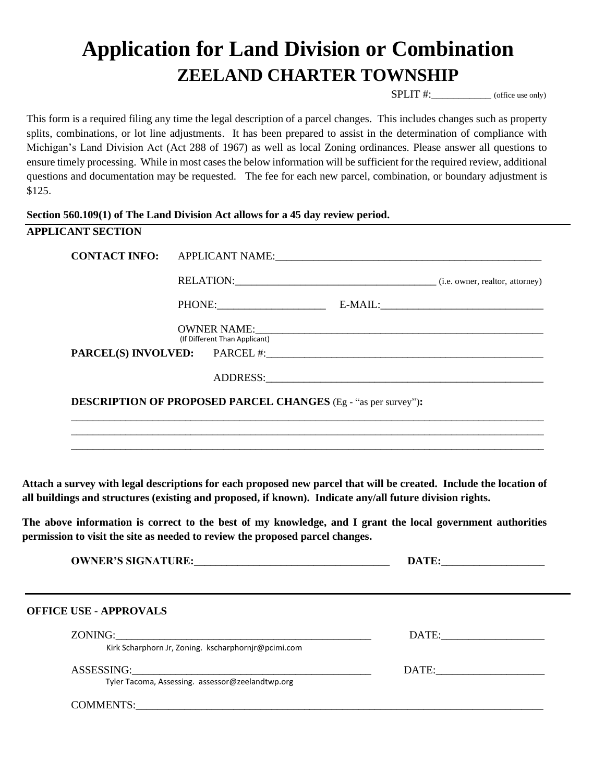## **Application for Land Division or Combination ZEELAND CHARTER TOWNSHIP**

SPLIT #:  $[$  (office use only)

This form is a required filing any time the legal description of a parcel changes. This includes changes such as property splits, combinations, or lot line adjustments. It has been prepared to assist in the determination of compliance with Michigan's Land Division Act (Act 288 of 1967) as well as local Zoning ordinances. Please answer all questions to ensure timely processing. While in most cases the below information will be sufficient for the required review, additional questions and documentation may be requested. The fee for each new parcel, combination, or boundary adjustment is \$125.

## **Section 560.109(1) of The Land Division Act allows for a 45 day review period.**

| PHONE: PHONE                  | RELATION: (i.e. owner, realtor, attorney)                             |
|-------------------------------|-----------------------------------------------------------------------|
|                               |                                                                       |
|                               |                                                                       |
| (If Different Than Applicant) | OWNER NAME:                                                           |
|                               |                                                                       |
|                               |                                                                       |
|                               |                                                                       |
|                               |                                                                       |
|                               | <b>DESCRIPTION OF PROPOSED PARCEL CHANGES</b> (Eg - "as per survey"): |

**Attach a survey with legal descriptions for each proposed new parcel that will be created. Include the location of all buildings and structures (existing and proposed, if known). Indicate any/all future division rights.**

**The above information is correct to the best of my knowledge, and I grant the local government authorities permission to visit the site as needed to review the proposed parcel changes.** 

| <b>OWNER'S SIGNATURE:</b> |  |  |
|---------------------------|--|--|
|---------------------------|--|--|

|                                                     | DATE:                |
|-----------------------------------------------------|----------------------|
| Kirk Scharphorn Jr, Zoning. kscharphornjr@pcimi.com |                      |
| ASSESSING:                                          | DATE: New York DATE: |
| Tyler Tacoma, Assessing. assessor@zeelandtwp.org    |                      |